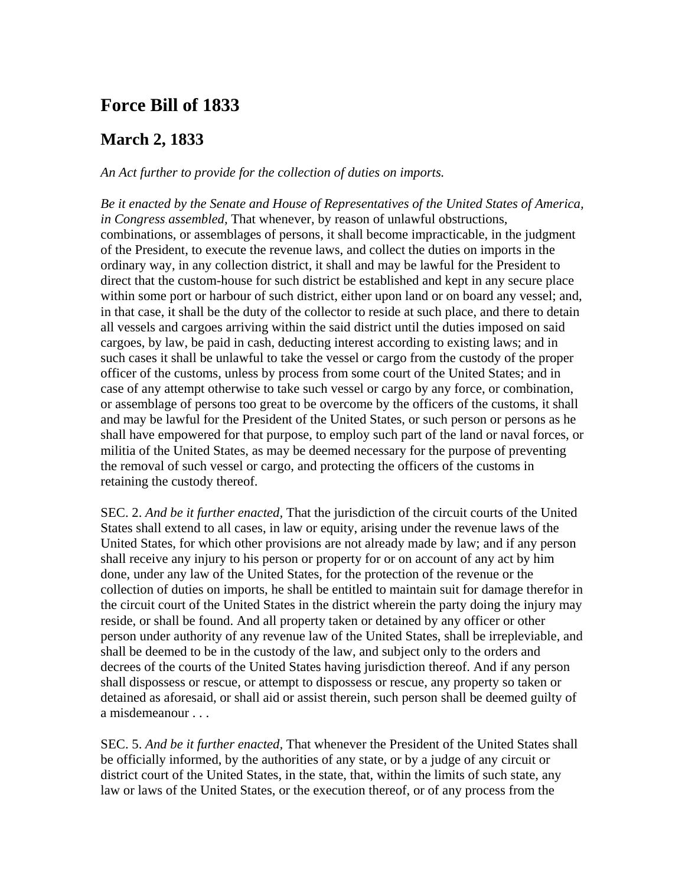## **Force Bill of 1833**

## **arch 2, 1833 M**

*An Act further to provide for the collection of duties on imports.* 

*Be it enacted by the Senate and House of Representatives of the United States of America,*  combinations, or assemblages of persons, it shall become impracticable, in the judgment direct that the custom-house for such district be established and kept in any secure place such cases it shall be unlawful to take the vessel or cargo from the custody of the proper case of any attempt otherwise to take such vessel or cargo by any force, or combination, *in Congress assembled,* That whenever, by reason of unlawful obstructions, of the President, to execute the revenue laws, and collect the duties on imports in the ordinary way, in any collection district, it shall and may be lawful for the President to within some port or harbour of such district, either upon land or on board any vessel; and, in that case, it shall be the duty of the collector to reside at such place, and there to detain all vessels and cargoes arriving within the said district until the duties imposed on said cargoes, by law, be paid in cash, deducting interest according to existing laws; and in officer of the customs, unless by process from some court of the United States; and in or assemblage of persons too great to be overcome by the officers of the customs, it shall and may be lawful for the President of the United States, or such person or persons as he shall have empowered for that purpose, to employ such part of the land or naval forces, or militia of the United States, as may be deemed necessary for the purpose of preventing the removal of such vessel or cargo, and protecting the officers of the customs in retaining the custody thereof.

SEC. 2. *And be it further enacted,* That the jurisdiction of the circuit courts of the United United States, for which other provisions are not already made by law; and if any person collection of duties on imports, he shall be entitled to maintain suit for damage therefor in person under authority of any revenue law of the United States, shall be irrepleviable, and decrees of the courts of the United States having jurisdiction thereof. And if any person detained as aforesaid, or shall aid or assist therein, such person shall be deemed guilty of States shall extend to all cases, in law or equity, arising under the revenue laws of the shall receive any injury to his person or property for or on account of any act by him done, under any law of the United States, for the protection of the revenue or the the circuit court of the United States in the district wherein the party doing the injury may reside, or shall be found. And all property taken or detained by any officer or other shall be deemed to be in the custody of the law, and subject only to the orders and shall dispossess or rescue, or attempt to dispossess or rescue, any property so taken or a misdemeanour . . .

SEC. 5. *And be it further enacted,* That whenever the President of the United States shall be officially informed, by the authorities of any state, or by a judge of any circuit or district court of the United States, in the state, that, within the limits of such state, any law or laws of the United States, or the execution thereof, or of any process from the